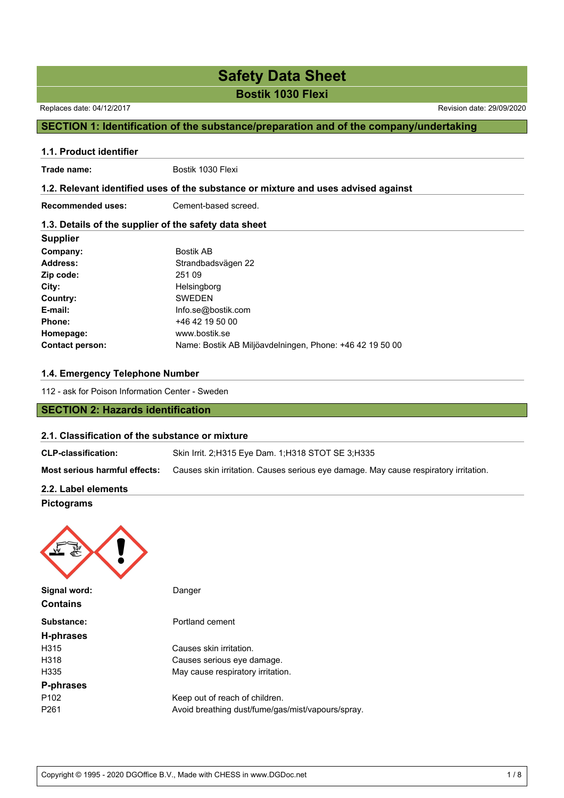**Bostik 1030 Flexi**

Replaces date: 04/12/2017 Revision date: 29/09/2020

### **SECTION 1: Identification of the substance/preparation and of the company/undertaking**

## **1.1. Product identifier** Trade name: Bostik 1030 Flexi **1.2. Relevant identified uses of the substance or mixture and uses advised against Recommended uses:** Cement-based screed. **1.3. Details of the supplier of the safety data sheet Supplier**

| Company:               | <b>Bostik AB</b>                                         |
|------------------------|----------------------------------------------------------|
| <b>Address:</b>        | Strandbadsvägen 22                                       |
| Zip code:              | 251 09                                                   |
| City:                  | Helsingborg                                              |
| Country:               | <b>SWEDEN</b>                                            |
| E-mail:                | Info.se@bostik.com                                       |
| Phone:                 | +46 42 19 50 00                                          |
| Homepage:              | www.bostik.se                                            |
| <b>Contact person:</b> | Name: Bostik AB Miljöavdelningen, Phone: +46 42 19 50 00 |

### **1.4. Emergency Telephone Number**

112 - ask for Poison Information Center - Sweden

### **SECTION 2: Hazards identification**

### **2.1. Classification of the substance or mixture**

| <b>CLP-classification:</b>    | Skin Irrit. 2:H315 Eye Dam. 1:H318 STOT SE 3:H335                                    |
|-------------------------------|--------------------------------------------------------------------------------------|
| Most serious harmful effects: | Causes skin irritation. Causes serious eye damage. May cause respiratory irritation. |
| 2.2. Label elements           |                                                                                      |

### **Pictograms**



**Substance:** Portland cement **H-phrases** H315 Causes skin irritation. H318 Causes serious eye damage. H335 May cause respiratory irritation. **P-phrases** P102 Keep out of reach of children. P261 **Avoid breathing dust/fume/gas/mist/vapours/spray.**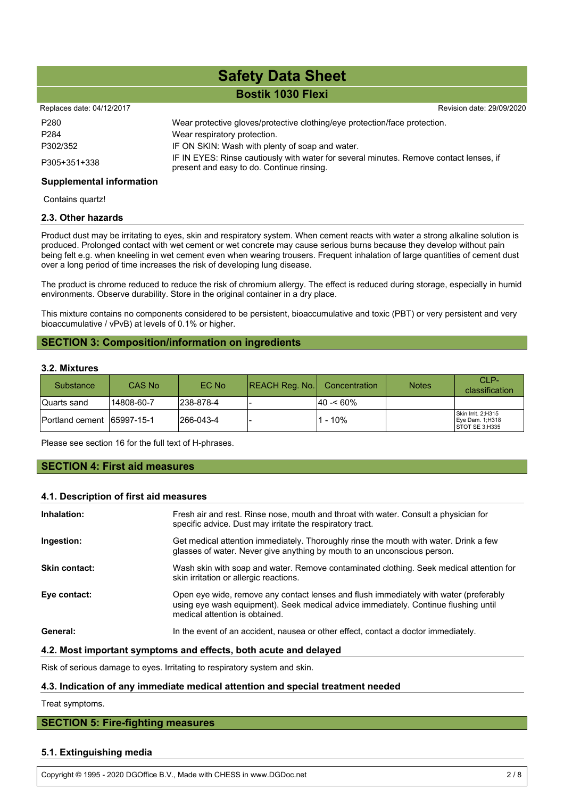### **Bostik 1030 Flexi**

#### Replaces date: 04/12/2017 **Replaces** date: 29/09/2020

| P <sub>280</sub> | Wear protective gloves/protective clothing/eye protection/face protection.                                                          |
|------------------|-------------------------------------------------------------------------------------------------------------------------------------|
| P <sub>284</sub> | Wear respiratory protection.                                                                                                        |
| P302/352         | IF ON SKIN: Wash with plenty of soap and water.                                                                                     |
| P305+351+338     | IF IN EYES: Rinse cautiously with water for several minutes. Remove contact lenses, if<br>present and easy to do. Continue rinsing. |

### **Supplemental information**

Contains quartz!

### **2.3. Other hazards**

Product dust may be irritating to eyes, skin and respiratory system. When cement reacts with water a strong alkaline solution is produced. Prolonged contact with wet cement or wet concrete may cause serious burns because they develop without pain being felt e.g. when kneeling in wet cement even when wearing trousers. Frequent inhalation of large quantities of cement dust over a long period of time increases the risk of developing lung disease.

The product is chrome reduced to reduce the risk of chromium allergy. The effect is reduced during storage, especially in humid environments. Observe durability. Store in the original container in a dry place.

This mixture contains no components considered to be persistent, bioaccumulative and toxic (PBT) or very persistent and very bioaccumulative / vPvB) at levels of 0.1% or higher.

### **SECTION 3: Composition/information on ingredients**

### **3.2. Mixtures**

| <b>Substance</b>       | CAS No     | EC No     | <b>REACH Reg. No.</b> | Concentration | <b>Notes</b> | CLP-<br>classification                                  |
|------------------------|------------|-----------|-----------------------|---------------|--------------|---------------------------------------------------------|
| Quarts sand            | 14808-60-7 | 238-878-4 |                       | $ 40 - 60\% $ |              |                                                         |
| <b>Portland cement</b> | 65997-15-1 | 266-043-4 |                       | 1 - 10%       |              | Skin Irrit. 2;H315<br>Eye Dam. 1;H318<br>STOT SE 3;H335 |

Please see section 16 for the full text of H-phrases.

### **SECTION 4: First aid measures**

### **4.1. Description of first aid measures**

| Inhalation:   | Fresh air and rest. Rinse nose, mouth and throat with water. Consult a physician for<br>specific advice. Dust may irritate the respiratory tract.                                                              |
|---------------|----------------------------------------------------------------------------------------------------------------------------------------------------------------------------------------------------------------|
| Ingestion:    | Get medical attention immediately. Thoroughly rinse the mouth with water. Drink a few<br>glasses of water. Never give anything by mouth to an unconscious person.                                              |
| Skin contact: | Wash skin with soap and water. Remove contaminated clothing. Seek medical attention for<br>skin irritation or allergic reactions.                                                                              |
| Eye contact:  | Open eye wide, remove any contact lenses and flush immediately with water (preferably<br>using eye wash equipment). Seek medical advice immediately. Continue flushing until<br>medical attention is obtained. |
| General:      | In the event of an accident, nausea or other effect, contact a doctor immediately.                                                                                                                             |

### **4.2. Most important symptoms and effects, both acute and delayed**

Risk of serious damage to eyes. Irritating to respiratory system and skin.

### **4.3. Indication of any immediate medical attention and special treatment needed**

Treat symptoms.

### **SECTION 5: Fire-fighting measures**

### **5.1. Extinguishing media**

Copyright © 1995 - 2020 DGOffice B.V., Made with CHESS in www.DGDoc.net 2 / 8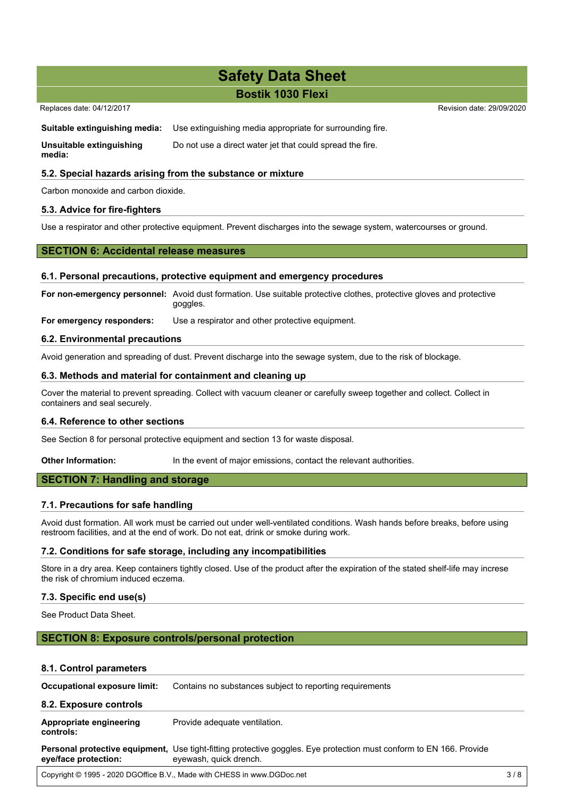### **Bostik 1030 Flexi**

### Replaces date: 04/12/2017 **Replaces** date: 29/09/2020

**Suitable extinguishing media:** Use extinguishing media appropriate for surrounding fire.

**Unsuitable extinguishing media:** Do not use a direct water jet that could spread the fire.

### **5.2. Special hazards arising from the substance or mixture**

Carbon monoxide and carbon dioxide.

### **5.3. Advice for fire-fighters**

Use a respirator and other protective equipment. Prevent discharges into the sewage system, watercourses or ground.

### **SECTION 6: Accidental release measures**

### **6.1. Personal precautions, protective equipment and emergency procedures**

**For non-emergency personnel:** Avoid dust formation. Use suitable protective clothes, protective gloves and protective goggles.

**For emergency responders:** Use a respirator and other protective equipment.

### **6.2. Environmental precautions**

Avoid generation and spreading of dust. Prevent discharge into the sewage system, due to the risk of blockage.

### **6.3. Methods and material for containment and cleaning up**

Cover the material to prevent spreading. Collect with vacuum cleaner or carefully sweep together and collect. Collect in containers and seal securely.

### **6.4. Reference to other sections**

See Section 8 for personal protective equipment and section 13 for waste disposal.

**Other Information:** In the event of major emissions, contact the relevant authorities.

### **SECTION 7: Handling and storage**

### **7.1. Precautions for safe handling**

Avoid dust formation. All work must be carried out under well-ventilated conditions. Wash hands before breaks, before using restroom facilities, and at the end of work. Do not eat, drink or smoke during work.

### **7.2. Conditions for safe storage, including any incompatibilities**

Store in a dry area. Keep containers tightly closed. Use of the product after the expiration of the stated shelf-life may increse the risk of chromium induced eczema.

### **7.3. Specific end use(s)**

See Product Data Sheet.

### **SECTION 8: Exposure controls/personal protection**

### **8.1. Control parameters**

| Occupational exposure limit:         | Contains no substances subject to reporting requirements                                                                                      |     |
|--------------------------------------|-----------------------------------------------------------------------------------------------------------------------------------------------|-----|
| 8.2. Exposure controls               |                                                                                                                                               |     |
| Appropriate engineering<br>controls: | Provide adequate ventilation.                                                                                                                 |     |
| eye/face protection:                 | Personal protective equipment, Use tight-fitting protective goggles. Eye protection must conform to EN 166. Provide<br>eyewash, quick drench. |     |
|                                      | Copyright © 1995 - 2020 DGOffice B.V., Made with CHESS in www.DGDoc.net                                                                       | 3/8 |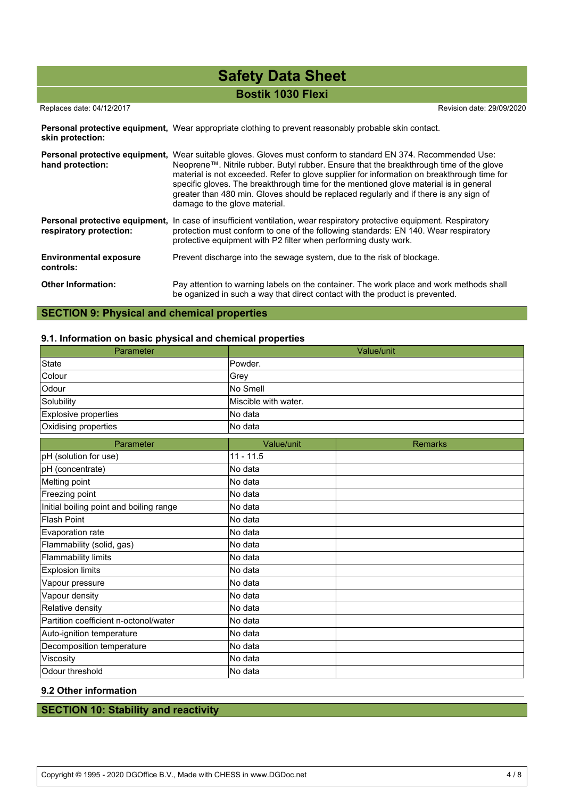**Bostik 1030 Flexi**

### Replaces date: 04/12/2017 Revision date: 29/09/2020

Personal protective equipment, Wear appropriate clothing to prevent reasonably probable skin contact. **skin protection:**

| hand protection:                                          | <b>Personal protective equipment,</b> Wear suitable gloves. Gloves must conform to standard EN 374. Recommended Use:<br>Neoprene™. Nitrile rubber. Butyl rubber. Ensure that the breakthrough time of the glove<br>material is not exceeded. Refer to glove supplier for information on breakthrough time for<br>specific gloves. The breakthrough time for the mentioned glove material is in general<br>greater than 480 min. Gloves should be replaced regularly and if there is any sign of<br>damage to the glove material. |
|-----------------------------------------------------------|----------------------------------------------------------------------------------------------------------------------------------------------------------------------------------------------------------------------------------------------------------------------------------------------------------------------------------------------------------------------------------------------------------------------------------------------------------------------------------------------------------------------------------|
| Personal protective equipment,<br>respiratory protection: | In case of insufficient ventilation, wear respiratory protective equipment. Respiratory<br>protection must conform to one of the following standards: EN 140. Wear respiratory<br>protective equipment with P2 filter when performing dusty work.                                                                                                                                                                                                                                                                                |
| <b>Environmental exposure</b><br>controls:                | Prevent discharge into the sewage system, due to the risk of blockage.                                                                                                                                                                                                                                                                                                                                                                                                                                                           |
| <b>Other Information:</b>                                 | Pay attention to warning labels on the container. The work place and work methods shall<br>be oganized in such a way that direct contact with the product is prevented.                                                                                                                                                                                                                                                                                                                                                          |

### **SECTION 9: Physical and chemical properties**

### **9.1. Information on basic physical and chemical properties**

| Parameter                               |                      | Value/unit     |
|-----------------------------------------|----------------------|----------------|
| <b>State</b>                            | Powder.              |                |
| Colour                                  | Grey                 |                |
| Odour                                   | No Smell             |                |
| Solubility                              | Miscible with water. |                |
| Explosive properties                    | No data              |                |
| Oxidising properties                    | No data              |                |
| Parameter                               | Value/unit           | <b>Remarks</b> |
| pH (solution for use)                   | $11 - 11.5$          |                |
| pH (concentrate)                        | No data              |                |
| Melting point                           | No data              |                |
| Freezing point                          | No data              |                |
| Initial boiling point and boiling range | No data              |                |
| <b>Flash Point</b>                      | No data              |                |
| Evaporation rate                        | No data              |                |
| Flammability (solid, gas)               | No data              |                |
| <b>Flammability limits</b>              | No data              |                |
| <b>Explosion limits</b>                 | No data              |                |
| Vapour pressure                         | No data              |                |
| Vapour density                          | No data              |                |
| Relative density                        | No data              |                |
| Partition coefficient n-octonol/water   | No data              |                |
| Auto-ignition temperature               | No data              |                |
| Decomposition temperature               | No data              |                |
| Viscosity                               | No data              |                |
| Odour threshold                         | No data              |                |

### **9.2 Other information**

### **SECTION 10: Stability and reactivity**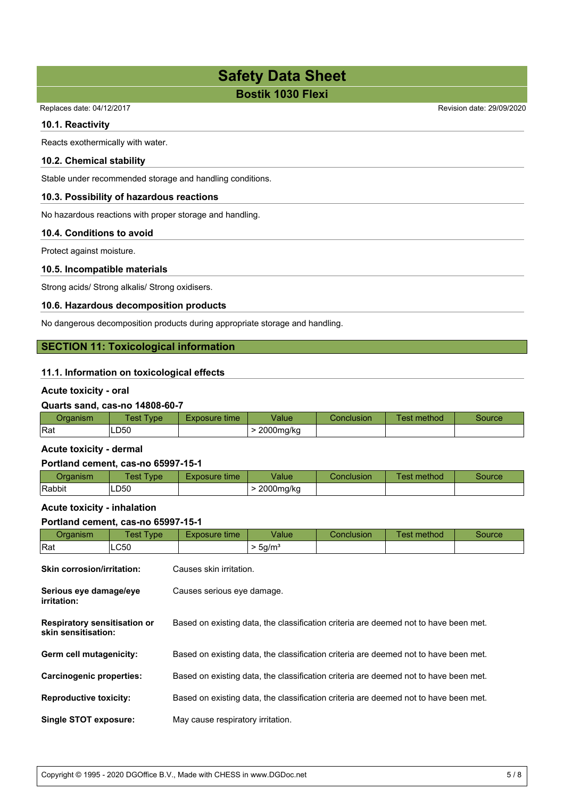**Bostik 1030 Flexi**

Replaces date: 04/12/2017 Revision date: 29/09/2020

### **10.1. Reactivity**

Reacts exothermically with water.

### **10.2. Chemical stability**

Stable under recommended storage and handling conditions.

### **10.3. Possibility of hazardous reactions**

No hazardous reactions with proper storage and handling.

### **10.4. Conditions to avoid**

Protect against moisture.

### **10.5. Incompatible materials**

Strong acids/ Strong alkalis/ Strong oxidisers.

### **10.6. Hazardous decomposition products**

No dangerous decomposition products during appropriate storage and handling.

### **SECTION 11: Toxicological information**

### **11.1. Information on toxicological effects**

### **Acute toxicity - oral**

### **Quarts sand, cas-no 14808-60-7**

| <i><u>Iranniem</u></i><br>uanishi | 'est<br><b>vpe</b> | Exposure time | /alue     | <b>Conclusion</b> | _<br>. .<br>method<br>est | source |
|-----------------------------------|--------------------|---------------|-----------|-------------------|---------------------------|--------|
| Rat                               | LD50               |               | 2000mg/kg |                   |                           |        |

### **Acute toxicity - dermal**

### **Portland cement, cas-no 65997-15-1**

| ⊃rɑanısm | <b>Fest Type</b> | Exposure time | Value     | Conclusion | Test method | Source |
|----------|------------------|---------------|-----------|------------|-------------|--------|
| Rabbit   | LD <sub>50</sub> |               | 2000mg/kg |            |             |        |

### **Acute toxicity - inhalation**

### **Portland cement, cas-no 65997-15-1**

| Organism                                                   | <b>Test Type</b> | Exposure time                                                                        | Value               | Conclusion | Test method | Source |  |
|------------------------------------------------------------|------------------|--------------------------------------------------------------------------------------|---------------------|------------|-------------|--------|--|
| Rat                                                        | LC50             |                                                                                      | > 5g/m <sup>3</sup> |            |             |        |  |
| <b>Skin corrosion/irritation:</b>                          |                  | Causes skin irritation.                                                              |                     |            |             |        |  |
| Serious eye damage/eye<br>irritation:                      |                  | Causes serious eye damage.                                                           |                     |            |             |        |  |
| <b>Respiratory sensitisation or</b><br>skin sensitisation: |                  | Based on existing data, the classification criteria are deemed not to have been met. |                     |            |             |        |  |
| Germ cell mutagenicity:                                    |                  | Based on existing data, the classification criteria are deemed not to have been met. |                     |            |             |        |  |
| <b>Carcinogenic properties:</b>                            |                  | Based on existing data, the classification criteria are deemed not to have been met. |                     |            |             |        |  |
| <b>Reproductive toxicity:</b>                              |                  | Based on existing data, the classification criteria are deemed not to have been met. |                     |            |             |        |  |
| <b>Single STOT exposure:</b>                               |                  | May cause respiratory irritation.                                                    |                     |            |             |        |  |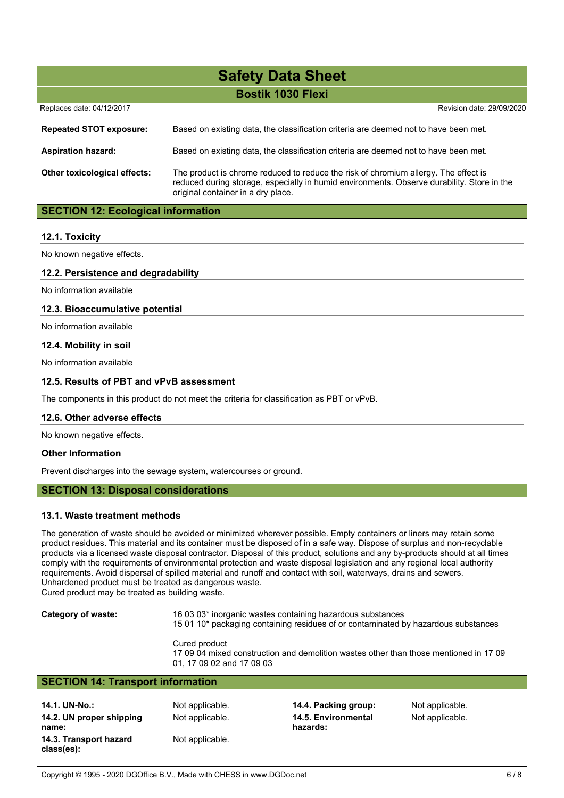**Bostik 1030 Flexi**

| Replaces date: 04/12/2017           | Revision date: 29/09/2020                                                                                                                                                                                               |
|-------------------------------------|-------------------------------------------------------------------------------------------------------------------------------------------------------------------------------------------------------------------------|
| <b>Repeated STOT exposure:</b>      | Based on existing data, the classification criteria are deemed not to have been met.                                                                                                                                    |
| <b>Aspiration hazard:</b>           | Based on existing data, the classification criteria are deemed not to have been met.                                                                                                                                    |
| <b>Other toxicological effects:</b> | The product is chrome reduced to reduce the risk of chromium allergy. The effect is<br>reduced during storage, especially in humid environments. Observe durability. Store in the<br>original container in a dry place. |

### **SECTION 12: Ecological information**

### **12.1. Toxicity**

No known negative effects.

### **12.2. Persistence and degradability**

No information available

### **12.3. Bioaccumulative potential**

No information available

### **12.4. Mobility in soil**

No information available

### **12.5. Results of PBT and vPvB assessment**

The components in this product do not meet the criteria for classification as PBT or vPvB.

### **12.6. Other adverse effects**

No known negative effects.

### **Other Information**

Prevent discharges into the sewage system, watercourses or ground.

### **SECTION 13: Disposal considerations**

### **13.1. Waste treatment methods**

The generation of waste should be avoided or minimized wherever possible. Empty containers or liners may retain some product residues. This material and its container must be disposed of in a safe way. Dispose of surplus and non-recyclable products via a licensed waste disposal contractor. Disposal of this product, solutions and any by-products should at all times comply with the requirements of environmental protection and waste disposal legislation and any regional local authority requirements. Avoid dispersal of spilled material and runoff and contact with soil, waterways, drains and sewers. Unhardened product must be treated as dangerous waste.

Cured product may be treated as building waste.

**Category of waste:** 16 03 03\* inorganic wastes containing hazardous substances

15 01 10\* packaging containing residues of or contaminated by hazardous substances

Cured product 17 09 04 mixed construction and demolition wastes other than those mentioned in 17 09 01, 17 09 02 and 17 09 03

### **SECTION 14: Transport information**

**14.1. UN-No.:** Not applicable. **14.4. Packing group:** Not applicable. **14.2. UN proper shipping name: 14.3. Transport hazard class(es):**

Not applicable.

Not applicable. **14.5. Environmental hazards:**

Not applicable.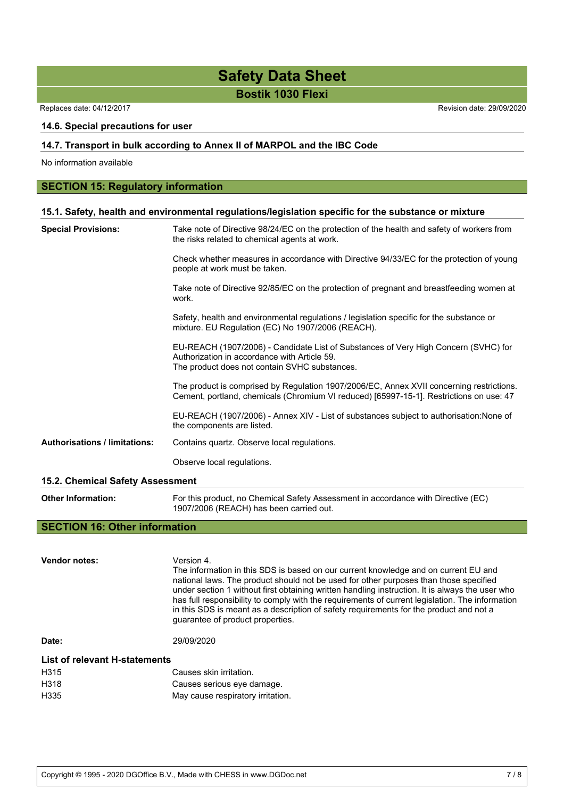**Bostik 1030 Flexi**

Replaces date: 04/12/2017 **Replaces** date: 29/09/2020

### **14.6. Special precautions for user**

### **14.7. Transport in bulk according to Annex II of MARPOL and the IBC Code**

No information available

### **SECTION 15: Regulatory information**

### **15.1. Safety, health and environmental regulations/legislation specific for the substance or mixture**

| <b>Special Provisions:</b>           | Take note of Directive 98/24/EC on the protection of the health and safety of workers from<br>the risks related to chemical agents at work.                                          |
|--------------------------------------|--------------------------------------------------------------------------------------------------------------------------------------------------------------------------------------|
|                                      | Check whether measures in accordance with Directive 94/33/EC for the protection of young<br>people at work must be taken.                                                            |
|                                      | Take note of Directive 92/85/EC on the protection of pregnant and breastfeeding women at<br>work.                                                                                    |
|                                      | Safety, health and environmental regulations / legislation specific for the substance or<br>mixture. EU Regulation (EC) No 1907/2006 (REACH).                                        |
|                                      | EU-REACH (1907/2006) - Candidate List of Substances of Very High Concern (SVHC) for<br>Authorization in accordance with Article 59.<br>The product does not contain SVHC substances. |
|                                      | The product is comprised by Regulation 1907/2006/EC, Annex XVII concerning restrictions.<br>Cement, portland, chemicals (Chromium VI reduced) [65997-15-1]. Restrictions on use: 47  |
|                                      | EU-REACH (1907/2006) - Annex XIV - List of substances subject to authorisation: None of<br>the components are listed.                                                                |
| <b>Authorisations / limitations:</b> | Contains quartz. Observe local regulations.                                                                                                                                          |
|                                      | Observe local regulations.                                                                                                                                                           |
| 15.2. Chemical Safety Assessment     |                                                                                                                                                                                      |

**Other Information:** For this product, no Chemical Safety Assessment in accordance with Directive (EC) 1907/2006 (REACH) has been carried out.

### **SECTION 16: Other information**

**Vendor notes:** Version 4. The information in this SDS is based on our current knowledge and on current EU and national laws. The product should not be used for other purposes than those specified under section 1 without first obtaining written handling instruction. It is always the user who has full responsibility to comply with the requirements of current legislation. The information in this SDS is meant as a description of safety requirements for the product and not a guarantee of product properties. **Date:** 29/09/2020 **List of relevant H-statements** H315 Causes skin irritation. H318 Causes serious eye damage. H335 May cause respiratory irritation.